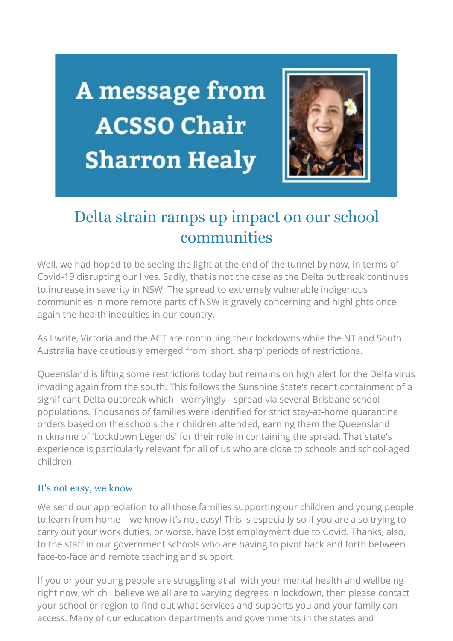A message from **ACSSO Chair Sharron Healy** 



# Delta strain ramps up impact on our school communities

Well, we had hoped to be seeing the light at the end of the tunnel by now, in terms of Covid-19 disrupting our lives. Sadly, that is not the case as the Delta outbreak continues to increase in severity in NSW. The spread to extremely vulnerable indigenous communities in more remote parts of NSW is gravely concerning and highlights once again the health inequities in our country.

As I write, Victoria and the ACT are continuing their lockdowns while the NT and South Australia have cautiously emerged from 'short, sharp' periods of restrictions.

Queensland is lifting some restrictions today but remains on high alert for the Delta virus invading again from the south. This follows the Sunshine State's recent containment of a significant Delta outbreak which - worryingly - spread via several Brisbane school populations. Thousands of families were identified for strict stay-at-home quarantine orders based on the schools their children attended, earning them the Queensland nickname of 'Lockdown Legends' for their role in containing the spread. That state's experience is particularly relevant for all of us who are close to schools and school-aged children.

#### It's not easy, we know

We send our appreciation to all those families supporting our children and young people to learn from home – we know it's not easy! This is especially so if you are also trying to carry out your work duties, or worse, have lost employment due to Covid. Thanks, also, to the staff in our government schools who are having to pivot back and forth between face-to-face and remote teaching and support.

If you or your young people are struggling at all with your mental health and wellbeing right now, which I believe we all are to varying degrees in lockdown, then please contact your school or region to find out what services and supports you and your family can access. Many of our education departments and governments in the states and